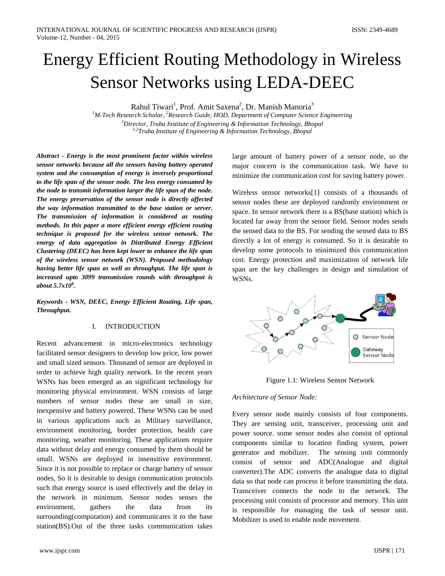# Energy Efficient Routing Methodology in Wireless Sensor Networks using LEDA-DEEC

Rahul Tiwari<sup>1</sup>, Prof. Amit Saxena<sup>2</sup>, Dr. Manish Manoria<sup>3</sup>

<sup>1</sup>M-Tech Research Scholar, <sup>2</sup>Research Guide, HOD, Department of Computer Science Engineering *3 Director, Truba Institute of Engineering & Information Technology, Bhopal 1,2Truba Institute of Engineering & Information Technology, Bhopal*

*Abstract - Energy is the most prominent factor within wireless sensor networks because all the sensors having battery operated system and the consumption of energy is inversely proportional to the life span of the sensor node. The less energy consumed by the node to transmit information larger the life span of the node. The energy preservation of the sensor node is directly affected the way information transmitted to the base station or server. The transmission of information is considered as routing methods. In this paper a more efficient energy efficient routing technique is proposed for the wireless sensor network. The energy of data aggregation in Distributed Energy Efficient Clustering (DEEC) has been kept lower to enhance the life span of the wireless sensor network (WSN). Proposed methodology having better life span as well as throughput. The life span is increased upto 3099 transmission rounds with throughput is about 5.7x104 .*

*Keywords - WSN, DEEC, Energy Efficient Routing, Life span, Throughput.*

### I. INTRODUCTION

Recent advancement in micro-electronics technology facilitated sensor designers to develop low price, low power and small sized sensors. Thousand of sensor are deployed in order to achieve high quality network. In the recent years WSNs has been emerged as an significant technology for monitoring physical environment. WSN consists of large numbers of sensor nodes these are small in size, inexpensive and battery powered. These WSNs can be used in various applications such as Military surveillance, environment monitoring, border protection, health care monitoring, weather monitoring. These applications require data without delay and energy consumed by them should be small. WSNs are deployed in insensitive environment. Since it is not possible to replace or charge battery of sensor nodes, So it is desirable to design communication protocols such that energy source is used effectively and the delay in the network in minimum. Sensor nodes senses the environment, gathers the data from its surrounding(computation) and communicates it to the base station(BS).Out of the three tasks communication takes

large amount of battery power of a sensor node, so the major concern is the communication task. We have to minimize the communication cost for saving battery power.

Wireless sensor networks[1] consists of a thousands of sensor nodes these are deployed randomly environment or space. In sensor network there is a BS(base station) which is located far away from the sensor field. Sensor nodes sends the sensed data to the BS. For sending the sensed data to BS directly a lot of energy is consumed. So it is desirable to develop some protocols to minimized this communication cost. Energy protection and maximization of network life span are the key challenges in design and simulation of WSNs.



Figure 1.1: Wireless Sensor Network

#### *Architecture of Sensor Node:*

Every sensor node mainly consists of four components. They are sensing unit, transceiver, processing unit and power source. some sensor nodes also consist of optional components similar to location finding system, power generator and mobilizer. The sensing unit commonly consist of sensor and ADC(Analogue and digital converter).The ADC converts the analogue data to digital data so that node can process it before transmitting the data. Transceiver connects the node to the network. The processing unit consists of processor and memory. This unit is responsible for managing the task of sensor unit. Mobilizer is used to enable node movement.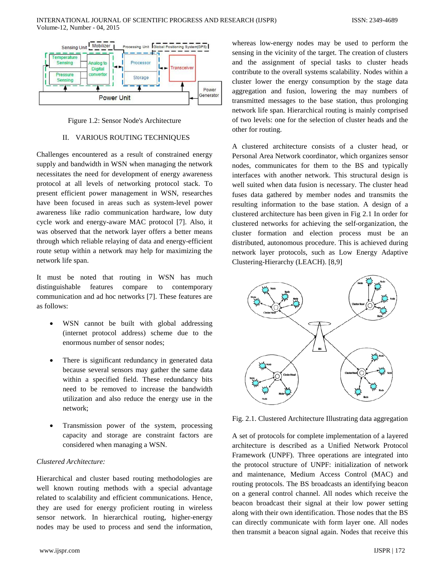





## II. VARIOUS ROUTING TECHNIQUES

Challenges encountered as a result of constrained energy supply and bandwidth in WSN when managing the network necessitates the need for development of energy awareness protocol at all levels of networking protocol stack. To present efficient power management in WSN, researches have been focused in areas such as system-level power awareness like radio communication hardware, low duty cycle work and energy-aware MAC protocol [7]. Also, it was observed that the network layer offers a better means through which reliable relaying of data and energy-efficient route setup within a network may help for maximizing the network life span.

It must be noted that routing in WSN has much distinguishable features compare to contemporary communication and ad hoc networks [7]. These features are as follows:

- WSN cannot be built with global addressing (internet protocol address) scheme due to the enormous number of sensor nodes;
- There is significant redundancy in generated data because several sensors may gather the same data within a specified field. These redundancy bits need to be removed to increase the bandwidth utilization and also reduce the energy use in the network;
- Transmission power of the system, processing capacity and storage are constraint factors are considered when managing a WSN.

## *Clustered Architecture:*

Hierarchical and cluster based routing methodologies are well known routing methods with a special advantage related to scalability and efficient communications. Hence, they are used for energy proficient routing in wireless sensor network. In hierarchical routing, higher-energy nodes may be used to process and send the information,

A clustered architecture consists of a cluster head, or Personal Area Network coordinator, which organizes sensor nodes, communicates for them to the BS and typically interfaces with another network. This structural design is well suited when data fusion is necessary. The cluster head

other for routing.

fuses data gathered by member nodes and transmits the resulting information to the base station. A design of a clustered architecture has been given in Fig 2.1 In order for clustered networks for achieving the self-organization, the cluster formation and election process must be an distributed, autonomous procedure. This is achieved during network layer protocols, such as Low Energy Adaptive Clustering-Hierarchy (LEACH). [8,9]

of two levels: one for the selection of cluster heads and the



Fig. 2.1. Clustered Architecture Illustrating data aggregation

A set of protocols for complete implementation of a layered architecture is described as a Unified Network Protocol Framework (UNPF). Three operations are integrated into the protocol structure of UNPF: initialization of network and maintenance, Medium Access Control (MAC) and routing protocols. The BS broadcasts an identifying beacon on a general control channel. All nodes which receive the beacon broadcast their signal at their low power setting along with their own identification. Those nodes that the BS can directly communicate with form layer one. All nodes then transmit a beacon signal again. Nodes that receive this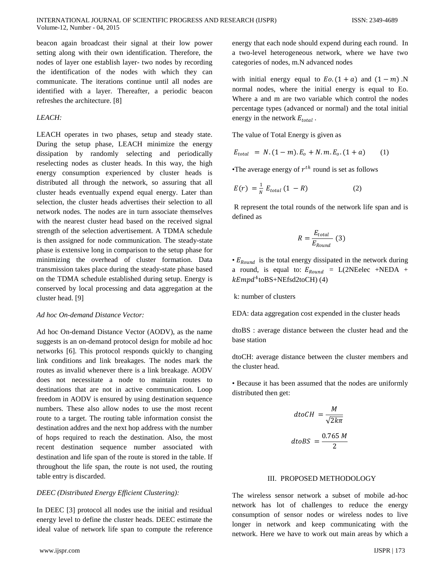beacon again broadcast their signal at their low power setting along with their own identification. Therefore, the nodes of layer one establish layer- two nodes by recording the identification of the nodes with which they can communicate. The iterations continue until all nodes are identified with a layer. Thereafter, a periodic beacon refreshes the architecture. [8]

# *LEACH:*

LEACH operates in two phases, setup and steady state. During the setup phase, LEACH minimize the energy dissipation by randomly selecting and periodically reselecting nodes as cluster heads. In this way, the high energy consumption experienced by cluster heads is distributed all through the network, so assuring that all cluster heads eventually expend equal energy. Later than selection, the cluster heads advertises their selection to all network nodes. The nodes are in turn associate themselves with the nearest cluster head based on the received signal strength of the selection advertisement. A TDMA schedule is then assigned for node communication. The steady-state phase is extensive long in comparison to the setup phase for minimizing the overhead of cluster formation. Data transmission takes place during the steady-state phase based on the TDMA schedule established during setup. Energy is conserved by local processing and data aggregation at the cluster head. [9]

## *Ad hoc On-demand Distance Vector:*

Ad hoc On-demand Distance Vector (AODV), as the name suggests is an on-demand protocol design for mobile ad hoc networks [6]. This protocol responds quickly to changing link conditions and link breakages. The nodes mark the routes as invalid whenever there is a link breakage. AODV does not necessitate a node to maintain routes to destinations that are not in active communication. Loop freedom in AODV is ensured by using destination sequence numbers. These also allow nodes to use the most recent route to a target. The routing table information consist the destination addres and the next hop address with the number of hops required to reach the destination. Also, the most recent destination sequence number associated with destination and life span of the route is stored in the table. If throughout the life span, the route is not used, the routing table entry is discarded.

## *DEEC (Distributed Energy Efficient Clustering):*

In DEEC [3] protocol all nodes use the initial and residual energy level to define the cluster heads. DEEC estimate the ideal value of network life span to compute the reference energy that each node should expend during each round. In a two-level heterogeneous network, where we have two categories of nodes, m.N advanced nodes

with initial energy equal to  $E_0$ .  $(1 + a)$  and  $(1 - m)$ . N normal nodes, where the initial energy is equal to Eo. Where a and m are two variable which control the nodes percentage types (advanced or normal) and the total initial energy in the network  $E_{total}$ .

The value of Total Energy is given as

$$
E_{total} = N.(1-m).E_o + N.m.E_o.(1+a) \qquad (1)
$$

•The average energy of  $r^{th}$  round is set as follows

$$
E(r) = \frac{1}{N} E_{total} (1 - R) \tag{2}
$$

R represent the total rounds of the network life span and is defined as

$$
R = \frac{E_{total}}{E_{Round}} \tag{3}
$$

 $\bullet$   $E_{Round}$  is the total energy dissipated in the network during a round, is equal to:  $E_{Round} = L(2NEelec + NEDA +$  $kEmpd^4$ toBS+NEfsd2toCH) (4)

k: number of clusters

EDA: data aggregation cost expended in the cluster heads

dtoBS : average distance between the cluster head and the base station

dtoCH: average distance between the cluster members and the cluster head.

• Because it has been assumed that the nodes are uniformly distributed then get:

$$
dt oCH = \frac{M}{\sqrt{2k\pi}}
$$

$$
dt oBS = \frac{0.765 M}{2}
$$

#### III. PROPOSED METHODOLOGY

The wireless sensor network a subset of mobile ad-hoc network has lot of challenges to reduce the energy consumption of sensor nodes or wireless nodes to live longer in network and keep communicating with the network. Here we have to work out main areas by which a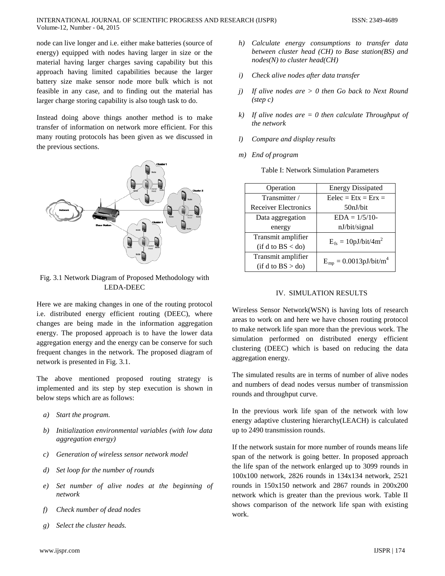node can live longer and i.e. either make batteries (source of energy) equipped with nodes having larger in size or the material having larger charges saving capability but this approach having limited capabilities because the larger battery size make sensor node more bulk which is not feasible in any case, and to finding out the material has larger charge storing capability is also tough task to do.

Instead doing above things another method is to make transfer of information on network more efficient. For this many routing protocols has been given as we discussed in the previous sections.



Fig. 3.1 Network Diagram of Proposed Methodology with LEDA-DEEC

Here we are making changes in one of the routing protocol i.e. distributed energy efficient routing (DEEC), where changes are being made in the information aggregation energy. The proposed approach is to have the lower data aggregation energy and the energy can be conserve for such frequent changes in the network. The proposed diagram of network is presented in Fig. 3.1.

The above mentioned proposed routing strategy is implemented and its step by step execution is shown in below steps which are as follows:

- *a) Start the program.*
- *b) Initialization environmental variables (with low data aggregation energy)*
- *c) Generation of wireless sensor network model*
- *d) Set loop for the number of rounds*
- *e) Set number of alive nodes at the beginning of network*
- *f) Check number of dead nodes*
- *g) Select the cluster heads.*
- *h) Calculate energy consumptions to transfer data between cluster head (CH) to Base station(BS) and nodes(N) to cluster head(CH)*
- *i) Check alive nodes after data transfer*
- *j) If alive nodes are > 0 then Go back to Next Round (step c)*
- *k) If alive nodes are = 0 then calculate Throughput of the network*
- *l) Compare and display results*
- *m) End of program*

|  |  | Table I: Network Simulation Parameters |  |
|--|--|----------------------------------------|--|
|--|--|----------------------------------------|--|

| Operation                   | <b>Energy Dissipated</b>    |  |
|-----------------------------|-----------------------------|--|
| Transmitter /               | $Eelec = Etx = Erx =$       |  |
| <b>Receiver Electronics</b> | 50nJ/bit                    |  |
| Data aggregation            | $EDA = 1/5/10$              |  |
| energy                      | nJ/bit/signal               |  |
| Transmit amplifier          | $E_{fs} = 10pJ/bit/4m^2$    |  |
| (if d to BS < do)           |                             |  |
| Transmit amplifier          | $E_{mp} = 0.0013pJ/bit/m^4$ |  |
| (if d to BS > do)           |                             |  |

# IV. SIMULATION RESULTS

Wireless Sensor Network(WSN) is having lots of research areas to work on and here we have chosen routing protocol to make network life span more than the previous work. The simulation performed on distributed energy efficient clustering (DEEC) which is based on reducing the data aggregation energy.

The simulated results are in terms of number of alive nodes and numbers of dead nodes versus number of transmission rounds and throughput curve.

In the previous work life span of the network with low energy adaptive clustering hierarchy(LEACH) is calculated up to 2490 transmission rounds.

If the network sustain for more number of rounds means life span of the network is going better. In proposed approach the life span of the network enlarged up to 3099 rounds in 100x100 network, 2826 rounds in 134x134 network, 2521 rounds in 150x150 network and 2867 rounds in 200x200 network which is greater than the previous work. Table II shows comparison of the network life span with existing work.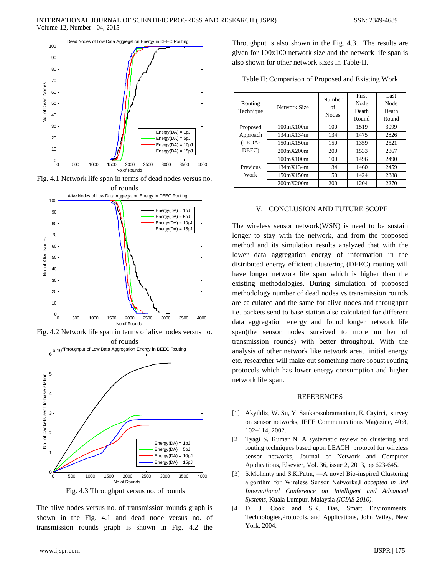

Fig. 4.1 Network life span in terms of dead nodes versus no.



Fig. 4.2 Network life span in terms of alive nodes versus no. of rounds



Fig. 4.3 Throughput versus no. of rounds

The alive nodes versus no. of transmission rounds graph is shown in the Fig. 4.1 and dead node versus no. of transmission rounds graph is shown in Fig. 4.2 the Throughput is also shown in the Fig. 4.3. The results are given for 100x100 network size and the network life span is also shown for other network sizes in Table-II.

|  |  | Table II: Comparison of Proposed and Existing Work |  |  |
|--|--|----------------------------------------------------|--|--|
|--|--|----------------------------------------------------|--|--|

| Routing<br>Technique        | Network Size | Number<br>of<br><b>Nodes</b> | First                | Last          |
|-----------------------------|--------------|------------------------------|----------------------|---------------|
|                             |              |                              | <b>Node</b><br>Death | Node<br>Death |
|                             |              |                              | Round                | Round         |
| Proposed                    | 100mX100m    | 100                          | 1519                 | 3099          |
| Approach<br>(LEDA-<br>DEEC) | 134mX134m    | 134                          | 1475                 | 2826          |
|                             | 150mX150m    | 150                          | 1359                 | 2521          |
|                             | 200mX200m    | 200                          | 1533                 | 2867          |
| Previous<br>Work            | 100mX100m    | 100                          | 1496                 | 2490          |
|                             | 134mX134m    | 134                          | 1460                 | 2459          |
|                             | 150mX150m    | 150                          | 1424                 | 2388          |
|                             | 200mX200m    | 200                          | 1204                 | 2270          |

#### V. CONCLUSION AND FUTURE SCOPE

The wireless sensor network(WSN) is need to be sustain longer to stay with the network, and from the proposed method and its simulation results analyzed that with the lower data aggregation energy of information in the distributed energy efficient clustering (DEEC) routing will have longer network life span which is higher than the existing methodologies. During simulation of proposed methodology number of dead nodes vs transmission rounds are calculated and the same for alive nodes and throughput i.e. packets send to base station also calculated for different data aggregation energy and found longer network life span(the sensor nodes survived to more number of transmission rounds) with better throughput. With the analysis of other network like network area, initial energy etc. researcher will make out something more robust routing protocols which has lower energy consumption and higher network life span.

#### REFERENCES

- [1] Akyildiz, W. Su, Y. Sankarasubramaniam, E. Cayirci, survey on sensor networks, IEEE Communications Magazine, 40:8, 102–114, 2002.
- [2] Tyagi S, Kumar N. A systematic review on clustering and routing techniques based upon LEACH protocol for wireless sensor networks, Journal of Network and Computer Applications, Elsevier, Vol. 36, issue 2, 2013, pp 623-645.
- [3] S.Mohanty and S.K.Patra, ―A novel Bio-inspired Clustering algorithm for Wireless Sensor Networks,‖ *accepted in 3rd International Conference on Intelligent and Advanced Systems,* Kuala Lumpur, Malaysia *(ICIAS 2010).*
- [4] D. J. Cook and S.K. Das, Smart Environments: Technologies,Protocols, and Applications, John Wiley, New York, 2004.